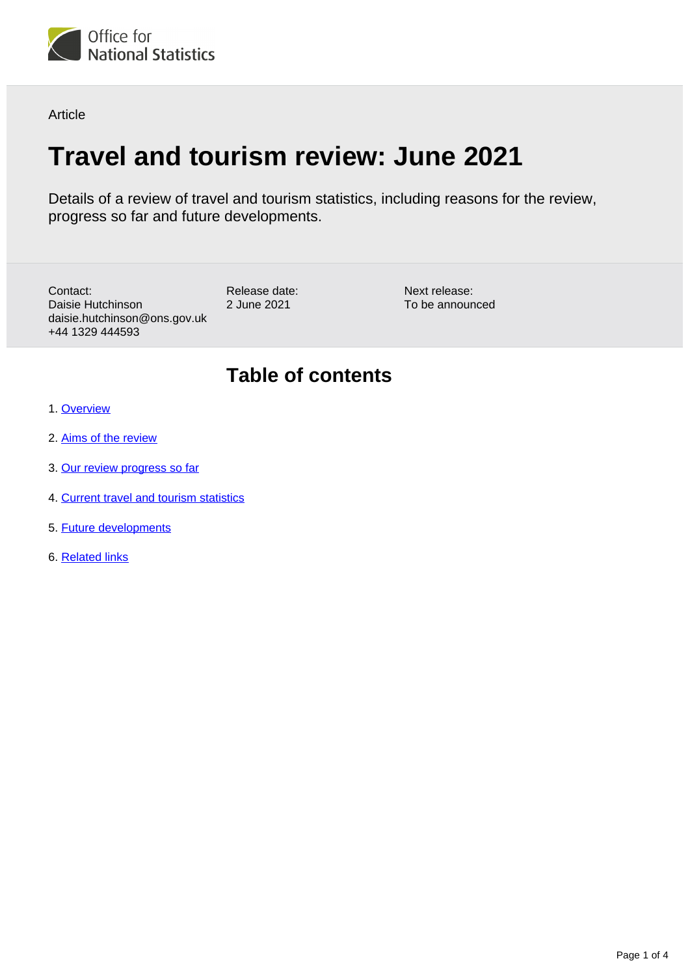

Article

# **Travel and tourism review: June 2021**

Release date: 2 June 2021

Details of a review of travel and tourism statistics, including reasons for the review, progress so far and future developments.

Contact: Daisie Hutchinson daisie.hutchinson@ons.gov.uk +44 1329 444593

Next release: To be announced

#### **Table of contents**

- 1. [Overview](#page-1-0)
- 2. [Aims of the review](#page-1-1)
- 3. [Our review progress so far](#page-1-2)
- 4. [Current travel and tourism statistics](#page-2-0)
- 5. [Future developments](#page-2-1)
- 6. [Related links](#page-3-0)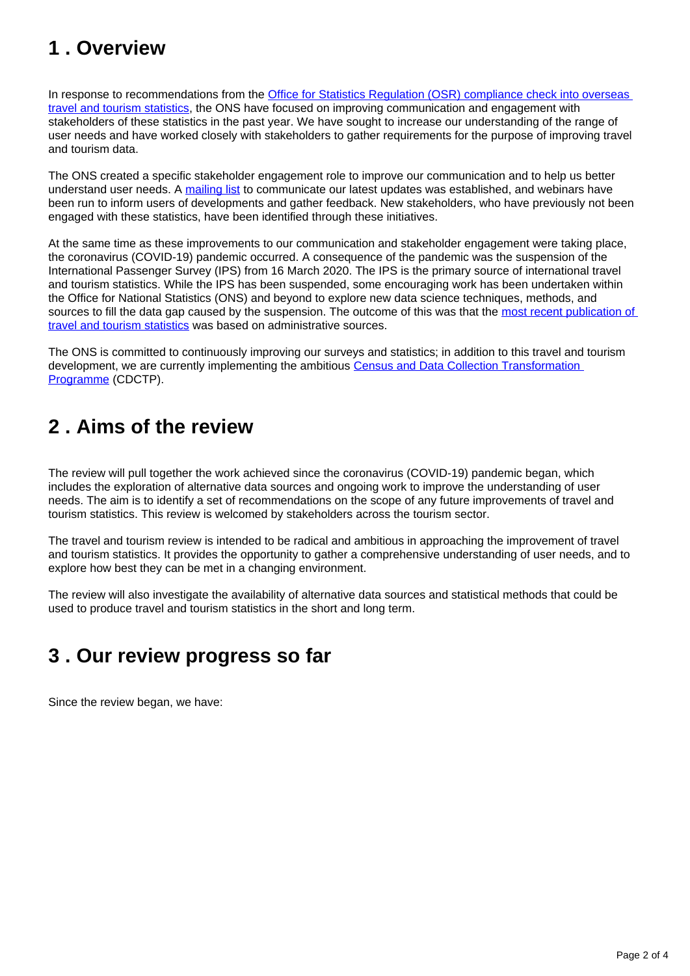## <span id="page-1-0"></span>**1 . Overview**

In response to recommendations from the Office for Statistics Regulation (OSR) compliance check into overseas [travel and tourism statistics](https://osr.statisticsauthority.gov.uk/correspondence/compliance-check-ons-overseas-travel-tourism/), the ONS have focused on improving communication and engagement with stakeholders of these statistics in the past year. We have sought to increase our understanding of the range of user needs and have worked closely with stakeholders to gather requirements for the purpose of improving travel and tourism data.

The ONS created a specific stakeholder engagement role to improve our communication and to help us better understand user needs. A [mailing list](https://public.govdelivery.com/accounts/UKONS/subscriber/new?preferences=true#tab1%22) to communicate our latest updates was established, and webinars have been run to inform users of developments and gather feedback. New stakeholders, who have previously not been engaged with these statistics, have been identified through these initiatives.

At the same time as these improvements to our communication and stakeholder engagement were taking place, the coronavirus (COVID-19) pandemic occurred. A consequence of the pandemic was the suspension of the International Passenger Survey (IPS) from 16 March 2020. The IPS is the primary source of international travel and tourism statistics. While the IPS has been suspended, some encouraging work has been undertaken within the Office for National Statistics (ONS) and beyond to explore new data science techniques, methods, and sources to fill the data gap caused by the suspension. The outcome of this was that the most recent publication of [travel and tourism statistics](https://www.ons.gov.uk/peoplepopulationandcommunity/leisureandtourism/articles/overseastravelandtourism2020/2021-05-24) was based on administrative sources.

The ONS is committed to continuously improving our surveys and statistics; in addition to this travel and tourism development, we are currently implementing the ambitious Census and Data Collection Transformation [Programme](https://www.ons.gov.uk/aboutus/whatwedo/programmesandprojects/censusanddatacollectiontransformationprogramme/aboutthecensusanddatacollectiontransformationprogrammecdctp) (CDCTP).

## <span id="page-1-1"></span>**2 . Aims of the review**

The review will pull together the work achieved since the coronavirus (COVID-19) pandemic began, which includes the exploration of alternative data sources and ongoing work to improve the understanding of user needs. The aim is to identify a set of recommendations on the scope of any future improvements of travel and tourism statistics. This review is welcomed by stakeholders across the tourism sector.

The travel and tourism review is intended to be radical and ambitious in approaching the improvement of travel and tourism statistics. It provides the opportunity to gather a comprehensive understanding of user needs, and to explore how best they can be met in a changing environment.

The review will also investigate the availability of alternative data sources and statistical methods that could be used to produce travel and tourism statistics in the short and long term.

## <span id="page-1-2"></span>**3 . Our review progress so far**

Since the review began, we have: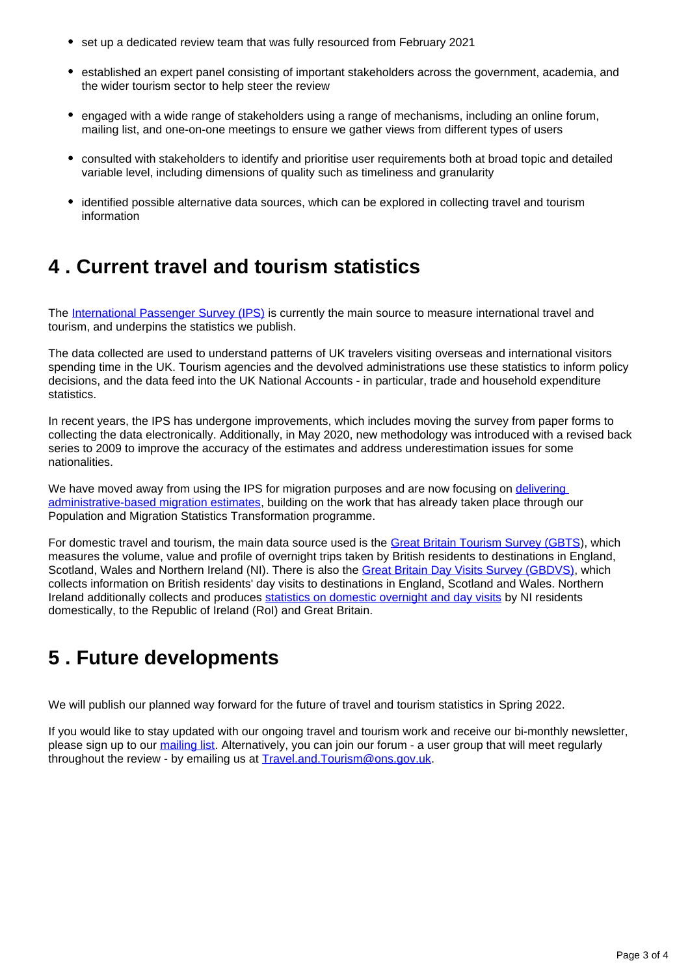- set up a dedicated review team that was fully resourced from February 2021
- established an expert panel consisting of important stakeholders across the government, academia, and the wider tourism sector to help steer the review
- engaged with a wide range of stakeholders using a range of mechanisms, including an online forum, mailing list, and one-on-one meetings to ensure we gather views from different types of users
- consulted with stakeholders to identify and prioritise user requirements both at broad topic and detailed variable level, including dimensions of quality such as timeliness and granularity
- identified possible alternative data sources, which can be explored in collecting travel and tourism information

#### <span id="page-2-0"></span>**4 . Current travel and tourism statistics**

The [International Passenger Survey \(IPS\)](https://www.ons.gov.uk/surveys/informationforhouseholdsandindividuals/householdandindividualsurveys/internationalpassengersurvey) is currently the main source to measure international travel and tourism, and underpins the statistics we publish.

The data collected are used to understand patterns of UK travelers visiting overseas and international visitors spending time in the UK. Tourism agencies and the devolved administrations use these statistics to inform policy decisions, and the data feed into the UK National Accounts - in particular, trade and household expenditure statistics.

In recent years, the IPS has undergone improvements, which includes moving the survey from paper forms to collecting the data electronically. Additionally, in May 2020, new methodology was introduced with a revised back series to 2009 to improve the accuracy of the estimates and address underestimation issues for some nationalities.

We have moved away from using the IPS for migration purposes and are now focusing on delivering [administrative-based migration estimates](https://www.ons.gov.uk/peoplepopulationandcommunity/populationandmigration/internationalmigration/articles/transformationofthepopulationandmigrationstatisticssystemoverview/2019-06-21), building on the work that has already taken place through our Population and Migration Statistics Transformation programme.

For domestic travel and tourism, the main data source used is the [Great Britain Tourism Survey \(GBTS\)](https://www.visitbritain.org/about-gbts-and-gbdvs), which measures the volume, value and profile of overnight trips taken by British residents to destinations in England, Scotland, Wales and Northern Ireland (NI). There is also the [Great Britain Day Visits Survey \(GBDVS\),](https://www.visitbritain.org/about-gbts-and-gbdvs) which collects information on British residents' day visits to destinations in England, Scotland and Wales. Northern Ireland additionally collects and produces [statistics on domestic overnight and day visits](https://www.nisra.gov.uk/statistics/tourism/domestic-tourism-northern-ireland-residents) by NI residents domestically, to the Republic of Ireland (RoI) and Great Britain.

#### <span id="page-2-1"></span>**5 . Future developments**

We will publish our planned way forward for the future of travel and tourism statistics in Spring 2022.

If you would like to stay updated with our ongoing travel and tourism work and receive our bi-monthly newsletter, please sign up to our [mailing list.](https://public.govdelivery.com/accounts/UKONS/subscriber/new?preferences=true#tab1%22) Alternatively, you can join our forum - a user group that will meet regularly throughout the review - by emailing us at [Travel.and.Tourism@ons.gov.uk](mailto:Travel.and.Tourism@ons.gov.uk).